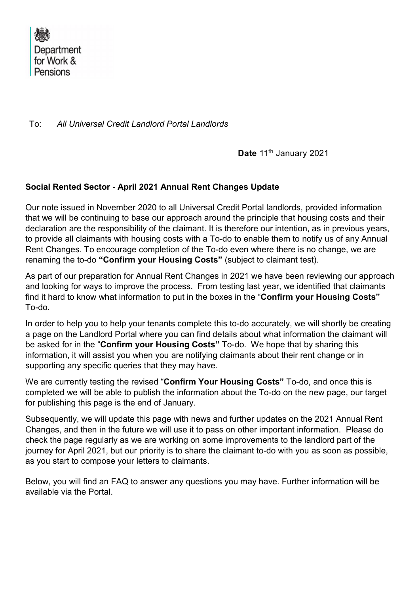

To: All Universal Credit Landlord Portal Landlords

Date 11<sup>th</sup> January 2021

### Social Rented Sector - April 2021 Annual Rent Changes Update

Our note issued in November 2020 to all Universal Credit Portal landlords, provided information that we will be continuing to base our approach around the principle that housing costs and their declaration are the responsibility of the claimant. It is therefore our intention, as in previous years, to provide all claimants with housing costs with a To-do to enable them to notify us of any Annual Rent Changes. To encourage completion of the To-do even where there is no change, we are renaming the to-do "Confirm your Housing Costs" (subject to claimant test).

As part of our preparation for Annual Rent Changes in 2021 we have been reviewing our approach and looking for ways to improve the process. From testing last year, we identified that claimants find it hard to know what information to put in the boxes in the "Confirm your Housing Costs" To-do.

In order to help you to help your tenants complete this to-do accurately, we will shortly be creating a page on the Landlord Portal where you can find details about what information the claimant will be asked for in the "Confirm your Housing Costs" To-do. We hope that by sharing this information, it will assist you when you are notifying claimants about their rent change or in supporting any specific queries that they may have.

We are currently testing the revised "Confirm Your Housing Costs" To-do, and once this is completed we will be able to publish the information about the To-do on the new page, our target for publishing this page is the end of January.

Subsequently, we will update this page with news and further updates on the 2021 Annual Rent Changes, and then in the future we will use it to pass on other important information. Please do check the page regularly as we are working on some improvements to the landlord part of the journey for April 2021, but our priority is to share the claimant to-do with you as soon as possible, as you start to compose your letters to claimants.

Below, you will find an FAQ to answer any questions you may have. Further information will be available via the Portal.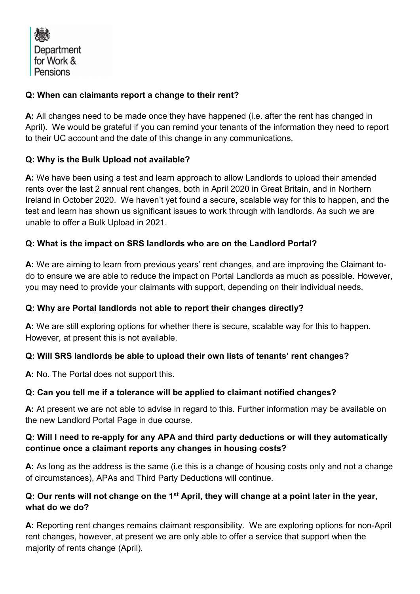Department for Work & Pensions

## Q: When can claimants report a change to their rent?

A: All changes need to be made once they have happened (i.e. after the rent has changed in April). We would be grateful if you can remind your tenants of the information they need to report to their UC account and the date of this change in any communications.

# Q: Why is the Bulk Upload not available?

A: We have been using a test and learn approach to allow Landlords to upload their amended rents over the last 2 annual rent changes, both in April 2020 in Great Britain, and in Northern Ireland in October 2020. We haven't yet found a secure, scalable way for this to happen, and the test and learn has shown us significant issues to work through with landlords. As such we are unable to offer a Bulk Upload in 2021.

# Q: What is the impact on SRS landlords who are on the Landlord Portal?

A: We are aiming to learn from previous years' rent changes, and are improving the Claimant todo to ensure we are able to reduce the impact on Portal Landlords as much as possible. However, you may need to provide your claimants with support, depending on their individual needs.

#### Q: Why are Portal landlords not able to report their changes directly?

A: We are still exploring options for whether there is secure, scalable way for this to happen. However, at present this is not available.

# Q: Will SRS landlords be able to upload their own lists of tenants' rent changes?

A: No. The Portal does not support this.

#### Q: Can you tell me if a tolerance will be applied to claimant notified changes?

A: At present we are not able to advise in regard to this. Further information may be available on the new Landlord Portal Page in due course.

#### Q: Will I need to re-apply for any APA and third party deductions or will they automatically continue once a claimant reports any changes in housing costs?

A: As long as the address is the same (i.e this is a change of housing costs only and not a change of circumstances), APAs and Third Party Deductions will continue.

### Q: Our rents will not change on the  $1<sup>st</sup>$  April, they will change at a point later in the year, what do we do?

A: Reporting rent changes remains claimant responsibility. We are exploring options for non-April rent changes, however, at present we are only able to offer a service that support when the majority of rents change (April).